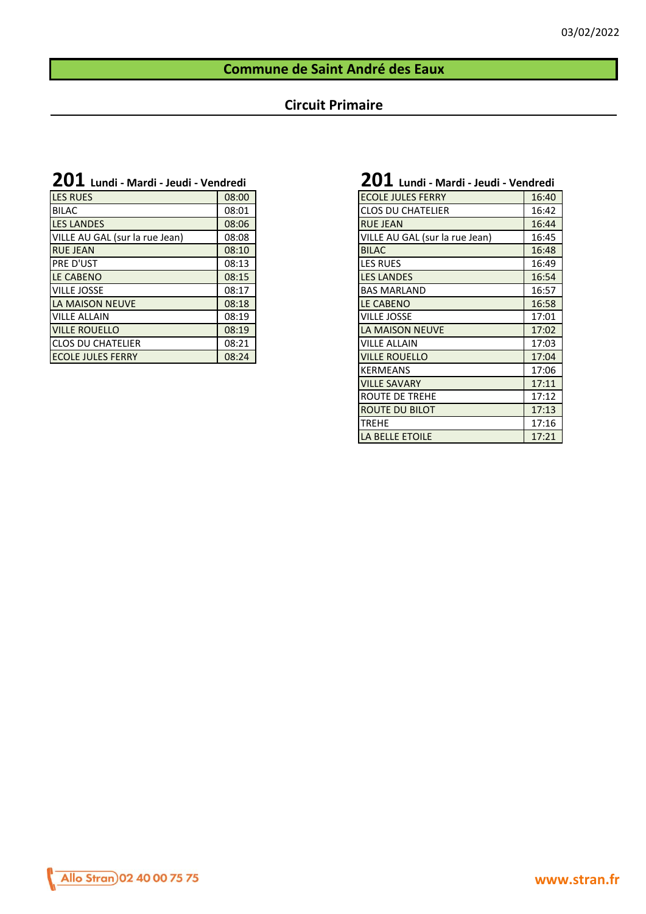#### **Commune de Saint André des Eaux**

#### **Circuit Primaire**

| <b>ZU1</b> Lundi - Mardi - Jeudi - Vendredi |
|---------------------------------------------|
|                                             |

| <b>LES RUES</b>                | 08:00 | <b>ECOLE JULES FERRY</b>       | 16:40 |
|--------------------------------|-------|--------------------------------|-------|
| <b>BILAC</b>                   | 08:01 | <b>CLOS DU CHATELIER</b>       | 16:42 |
| <b>LES LANDES</b>              | 08:06 | <b>RUE JEAN</b>                | 16:44 |
| VILLE AU GAL (sur la rue Jean) | 08:08 | VILLE AU GAL (sur la rue Jean) | 16:45 |
| <b>RUE JEAN</b>                | 08:10 | <b>BILAC</b>                   | 16:48 |
| <b>IPRE D'UST</b>              | 08:13 | <b>LES RUES</b>                | 16:49 |
| <b>LE CABENO</b>               | 08:15 | <b>LES LANDES</b>              | 16:54 |
| <b>VILLE JOSSE</b>             | 08:17 | <b>BAS MARLAND</b>             | 16:57 |
| LA MAISON NEUVE                | 08:18 | <b>LE CABENO</b>               | 16:58 |
| <b>VILLE ALLAIN</b>            | 08:19 | <b>VILLE JOSSE</b>             | 17:01 |
| <b>VILLE ROUELLO</b>           | 08:19 | LA MAISON NEUVE                | 17:02 |
| <b>ICLOS DU CHATELIER</b>      | 08:21 | <b>VILLE ALLAIN</b>            | 17:03 |
| <b>ECOLE JULES FERRY</b>       | 08:24 | <b>VILLE ROUELLO</b>           | 17:04 |

# **201 Lundi - Mardi - Jeudi - Vendredi 201 Lundi - Mardi - Jeudi - Vendredi**

| <b>ECOLE JULES FERRY</b>       | 16:40 |
|--------------------------------|-------|
| <b>CLOS DU CHATELIER</b>       | 16:42 |
| <b>RUE JEAN</b>                | 16:44 |
| VILLE AU GAL (sur la rue Jean) | 16:45 |
| <b>BILAC</b>                   | 16:48 |
| <b>LES RUES</b>                | 16:49 |
| <b>LES LANDES</b>              | 16:54 |
| <b>BAS MARLAND</b>             | 16:57 |
| <b>LE CABENO</b>               | 16:58 |
| <b>VILLE JOSSE</b>             | 17:01 |
| LA MAISON NEUVE                | 17:02 |
| <b>VILLE ALLAIN</b>            | 17:03 |
| <b>VILLE ROUELLO</b>           | 17:04 |
| <b>KERMEANS</b>                | 17:06 |
| <b>VILLE SAVARY</b>            | 17:11 |
| ROUTE DE TREHE                 | 17:12 |
| <b>ROUTE DU BILOT</b>          | 17:13 |
| <b>TREHE</b>                   | 17:16 |
| <b>LA BELLE ETOILE</b>         | 17:21 |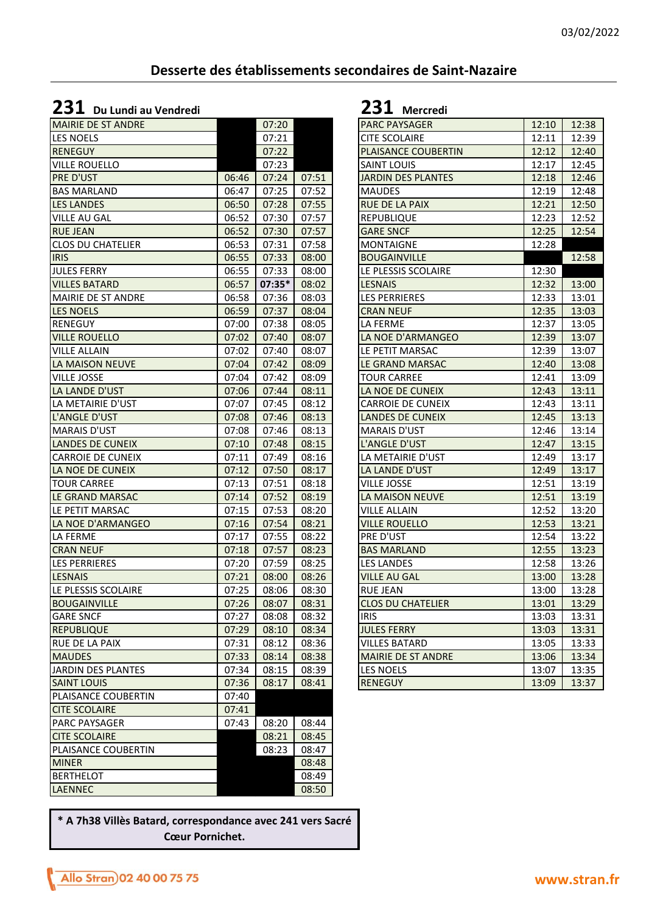### **Desserte des établissements secondaires de Saint-Nazaire**

### **231 Du Lundi au Vendredi 231 Mercredi**

| <b>MAIRIE DE ST ANDRE</b> |       | 07:20    |       | <b>PARC PAYSAGER</b>      | 12:10 | 12:38 |
|---------------------------|-------|----------|-------|---------------------------|-------|-------|
| <b>LES NOELS</b>          |       | 07:21    |       | CITE SCOLAIRE             | 12:11 | 12:39 |
| <b>RENEGUY</b>            |       | 07:22    |       | PLAISANCE COUBERTIN       | 12:12 | 12:40 |
| <b>VILLE ROUELLO</b>      |       | 07:23    |       | SAINT LOUIS               | 12:17 | 12:45 |
| <b>PRE D'UST</b>          | 06:46 | 07:24    | 07:51 | <b>JARDIN DES PLANTES</b> | 12:18 | 12:46 |
| <b>BAS MARLAND</b>        | 06:47 | 07:25    | 07:52 | <b>MAUDES</b>             | 12:19 | 12:48 |
| <b>LES LANDES</b>         | 06:50 | 07:28    | 07:55 | RUE DE LA PAIX            | 12:21 | 12:50 |
| <b>VILLE AU GAL</b>       | 06:52 | 07:30    | 07:57 | <b>REPUBLIQUE</b>         | 12:23 | 12:52 |
| <b>RUE JEAN</b>           | 06:52 | 07:30    | 07:57 | <b>GARE SNCF</b>          | 12:25 | 12:54 |
| <b>CLOS DU CHATELIER</b>  | 06:53 | 07:31    | 07:58 | <b>MONTAIGNE</b>          | 12:28 |       |
| <b>IRIS</b>               | 06:55 | 07:33    | 08:00 | <b>BOUGAINVILLE</b>       |       | 12:58 |
| <b>JULES FERRY</b>        | 06:55 | 07:33    | 08:00 | LE PLESSIS SCOLAIRE       | 12:30 |       |
| <b>VILLES BATARD</b>      | 06:57 | $07:35*$ | 08:02 | <b>LESNAIS</b>            | 12:32 | 13:00 |
| MAIRIE DE ST ANDRE        | 06:58 | 07:36    | 08:03 | <b>LES PERRIERES</b>      | 12:33 | 13:01 |
| <b>LES NOELS</b>          | 06:59 | 07:37    | 08:04 | <b>CRAN NEUF</b>          | 12:35 | 13:03 |
| RENEGUY                   | 07:00 | 07:38    | 08:05 | LA FERME                  | 12:37 | 13:05 |
| <b>VILLE ROUELLO</b>      | 07:02 | 07:40    | 08:07 | LA NOE D'ARMANGEO         | 12:39 | 13:07 |
| <b>VILLE ALLAIN</b>       | 07:02 | 07:40    | 08:07 | LE PETIT MARSAC           | 12:39 | 13:07 |
| LA MAISON NEUVE           | 07:04 | 07:42    | 08:09 | LE GRAND MARSAC           | 12:40 | 13:08 |
| <b>VILLE JOSSE</b>        | 07:04 | 07:42    | 08:09 | <b>TOUR CARREE</b>        | 12:41 | 13:09 |
| LA LANDE D'UST            | 07:06 | 07:44    | 08:11 | LA NOE DE CUNEIX          | 12:43 | 13:11 |
| LA METAIRIE D'UST         | 07:07 | 07:45    | 08:12 | <b>CARROIE DE CUNEIX</b>  | 12:43 | 13:11 |
| L'ANGLE D'UST             | 07:08 | 07:46    | 08:13 | <b>LANDES DE CUNEIX</b>   | 12:45 | 13:13 |
| <b>MARAIS D'UST</b>       | 07:08 | 07:46    | 08:13 | <b>MARAIS D'UST</b>       | 12:46 | 13:14 |
| <b>LANDES DE CUNEIX</b>   | 07:10 | 07:48    | 08:15 | L'ANGLE D'UST             | 12:47 | 13:15 |
| <b>CARROIE DE CUNEIX</b>  | 07:11 | 07:49    | 08:16 | LA METAIRIE D'UST         | 12:49 | 13:17 |
| LA NOE DE CUNEIX          | 07:12 | 07:50    | 08:17 | LA LANDE D'UST            | 12:49 | 13:17 |
| <b>TOUR CARREE</b>        | 07:13 | 07:51    | 08:18 | VILLE JOSSE               | 12:51 | 13:19 |
| LE GRAND MARSAC           | 07:14 | 07:52    | 08:19 | LA MAISON NEUVE           | 12:51 | 13:19 |
| LE PETIT MARSAC           | 07:15 | 07:53    | 08:20 | VILLE ALLAIN              | 12:52 | 13:20 |
| LA NOE D'ARMANGEO         | 07:16 | 07:54    | 08:21 | <b>VILLE ROUELLO</b>      | 12:53 | 13:21 |
| <b>LA FERME</b>           | 07:17 | 07:55    | 08:22 | PRE D'UST                 | 12:54 | 13:22 |
| <b>CRAN NEUF</b>          | 07:18 | 07:57    | 08:23 | <b>BAS MARLAND</b>        | 12:55 | 13:23 |
| <b>LES PERRIERES</b>      | 07:20 | 07:59    | 08:25 | <b>LES LANDES</b>         | 12:58 | 13:26 |
| <b>LESNAIS</b>            | 07:21 | 08:00    | 08:26 | <b>VILLE AU GAL</b>       | 13:00 | 13:28 |
| LE PLESSIS SCOLAIRE       | 07:25 | 08:06    | 08:30 | <b>RUE JEAN</b>           | 13:00 | 13:28 |
| <b>BOUGAINVILLE</b>       | 07:26 | 08:07    | 08:31 | <b>CLOS DU CHATELIER</b>  | 13:01 | 13:29 |
| <b>GARE SNCF</b>          | 07:27 | 08:08    | 08:32 | <b>IRIS</b>               | 13:03 | 13:31 |
| <b>REPUBLIQUE</b>         | 07:29 | 08:10    | 08:34 | <b>JULES FERRY</b>        | 13:03 | 13:31 |
| <b>RUE DE LA PAIX</b>     | 07:31 | 08:12    | 08:36 | <b>VILLES BATARD</b>      | 13:05 | 13:33 |
| <b>MAUDES</b>             | 07:33 | 08:14    | 08:38 | MAIRIE DE ST ANDRE        | 13:06 | 13:34 |
| JARDIN DES PLANTES        | 07:34 | 08:15    | 08:39 | LES NOELS                 | 13:07 | 13:35 |
| <b>SAINT LOUIS</b>        | 07:36 | 08:17    | 08:41 | <b>RENEGUY</b>            | 13:09 | 13:37 |
| PLAISANCE COUBERTIN       | 07:40 |          |       |                           |       |       |
| <b>CITE SCOLAIRE</b>      | 07:41 |          |       |                           |       |       |
| <b>PARC PAYSAGER</b>      | 07:43 | 08:20    | 08:44 |                           |       |       |
| <b>CITE SCOLAIRE</b>      |       | 08:21    | 08:45 |                           |       |       |
| PLAISANCE COUBERTIN       |       | 08:23    | 08:47 |                           |       |       |
| <b>MINER</b>              |       |          | 08:48 |                           |       |       |
| <b>BERTHELOT</b>          |       |          | 08:49 |                           |       |       |
| <b>LAENNEC</b>            |       |          | 08:50 |                           |       |       |

| <b>PARC PAYSAGER</b>      | 12:10 | 12:38 |
|---------------------------|-------|-------|
| <b>CITE SCOLAIRE</b>      | 12:11 | 12:39 |
| PLAISANCE COUBERTIN       | 12:12 | 12:40 |
| <b>SAINT LOUIS</b>        | 12:17 | 12:45 |
| <b>JARDIN DES PLANTES</b> | 12:18 | 12:46 |
| <b>MAUDES</b>             | 12:19 | 12:48 |
| <b>RUE DE LA PAIX</b>     | 12:21 | 12:50 |
| <b>REPUBLIQUE</b>         | 12:23 | 12:52 |
| <b>GARE SNCF</b>          | 12:25 | 12:54 |
| <b>MONTAIGNE</b>          | 12:28 |       |
| <b>BOUGAINVILLE</b>       |       | 12:58 |
| LE PLESSIS SCOLAIRE       | 12:30 |       |
| <b>LESNAIS</b>            | 12:32 | 13:00 |
| <b>LES PERRIERES</b>      | 12:33 | 13:01 |
| <b>CRAN NEUF</b>          | 12:35 | 13:03 |
| LA FERME                  | 12:37 | 13:05 |
| LA NOE D'ARMANGEO         | 12:39 | 13:07 |
| LE PETIT MARSAC           | 12:39 | 13:07 |
| LE GRAND MARSAC           | 12:40 | 13:08 |
| <b>TOUR CARREE</b>        | 12:41 | 13:09 |
| LA NOE DE CUNEIX          | 12:43 | 13:11 |
| <b>CARROIE DE CUNEIX</b>  | 12:43 | 13:11 |
| <b>LANDES DE CUNEIX</b>   | 12:45 | 13:13 |
| <b>MARAIS D'UST</b>       | 12:46 | 13:14 |
| L'ANGLE D'UST             | 12:47 | 13:15 |
| LA METAIRIE D'UST         | 12:49 | 13:17 |
| LA LANDE D'UST            | 12:49 | 13:17 |
| <b>VILLE JOSSE</b>        | 12:51 | 13:19 |
| LA MAISON NEUVE           | 12:51 | 13:19 |
| <b>VILLE ALLAIN</b>       | 12:52 | 13:20 |
| <b>VILLE ROUELLO</b>      | 12:53 | 13:21 |
| PRE D'UST                 | 12:54 | 13:22 |
| <b>BAS MARLAND</b>        | 12:55 | 13:23 |
| <b>LES LANDES</b>         | 12:58 | 13:26 |
| <b>VILLE AU GAL</b>       | 13:00 | 13:28 |
| <b>RUE JEAN</b>           | 13:00 | 13:28 |
| <b>CLOS DU CHATELIER</b>  | 13:01 | 13:29 |
| <b>IRIS</b>               | 13:03 | 13:31 |
| <b>JULES FERRY</b>        | 13:03 | 13:31 |
| <b>VILLES BATARD</b>      | 13:05 | 13:33 |
| <b>MAIRIE DE ST ANDRE</b> | 13:06 | 13:34 |
| <b>LES NOELS</b>          | 13:07 | 13:35 |
| <b>RENEGUY</b>            | 13:09 | 13:37 |

**\* A 7h38 Villès Batard, correspondance avec 241 vers Sacré Cœur Pornichet.**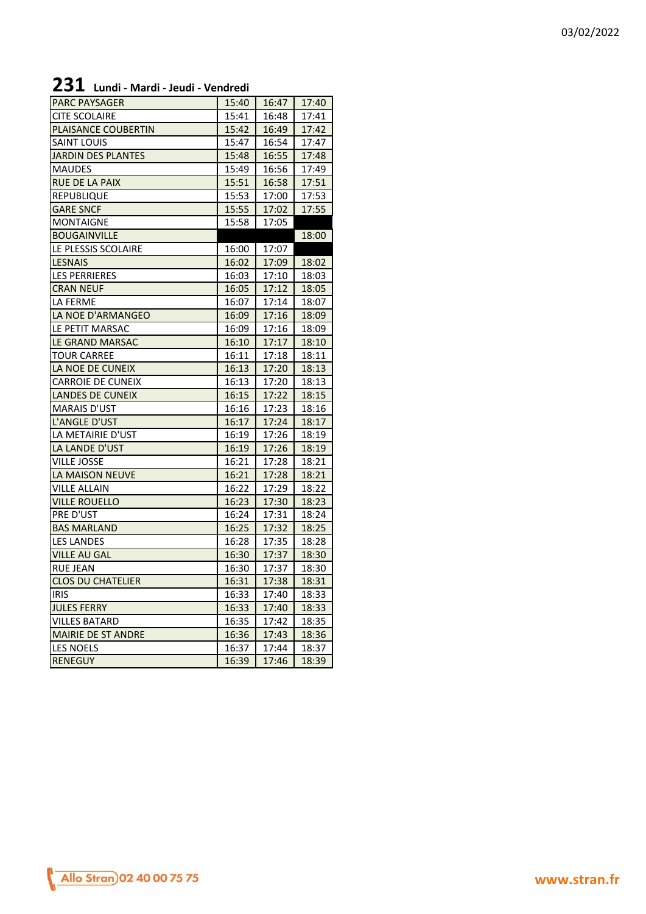# **231 Lundi - Mardi - Jeudi - Vendredi**

| <b>PARC PAYSAGER</b>          | 15:40 | 16:47 | 17:40 |
|-------------------------------|-------|-------|-------|
| <b>CITE SCOLAIRE</b>          | 15:41 | 16:48 | 17:41 |
| <b>PLAISANCE COUBERTIN</b>    | 15:42 | 16:49 | 17:42 |
| <b>SAINT LOUIS</b>            | 15:47 | 16:54 | 17:47 |
| <b>JARDIN DES PLANTES</b>     | 15:48 | 16:55 | 17:48 |
| <b>MAUDES</b>                 | 15:49 | 16:56 | 17:49 |
| <b>RUE DE LA PAIX</b>         | 15:51 | 16:58 | 17:51 |
| <b>REPUBLIQUE</b>             | 15:53 | 17:00 | 17:53 |
| <b>GARE SNCF</b>              | 15:55 | 17:02 | 17:55 |
| <b>MONTAIGNE</b>              | 15:58 | 17:05 |       |
| <b>BOUGAINVILLE</b>           |       |       | 18:00 |
| LE PLESSIS SCOLAIRE           | 16:00 | 17:07 |       |
| <b>LESNAIS</b>                | 16:02 | 17:09 | 18:02 |
| <b>LES PERRIERES</b>          | 16:03 | 17:10 | 18:03 |
| <b>CRAN NEUF</b>              | 16:05 | 17:12 | 18:05 |
| <b>LA FERME</b>               | 16:07 | 17:14 | 18:07 |
| LA NOE D'ARMANGEO             | 16:09 | 17:16 | 18:09 |
| LE PETIT MARSAC               | 16:09 | 17:16 | 18:09 |
| LE GRAND MARSAC               | 16:10 | 17:17 | 18:10 |
| <b>TOUR CARREE</b>            | 16:11 | 17:18 | 18:11 |
| LA NOE DE CUNEIX              | 16:13 | 17:20 | 18:13 |
| <b>CARROIE DE CUNEIX</b>      | 16:13 | 17:20 | 18:13 |
| <b>LANDES DE CUNEIX</b>       | 16:15 | 17:22 | 18:15 |
| <b>MARAIS D'UST</b>           | 16:16 | 17:23 | 18:16 |
| L'ANGLE D'UST                 | 16:17 | 17:24 | 18:17 |
| LA METAIRIE D'UST             | 16:19 | 17:26 | 18:19 |
| LA LANDE D'UST                | 16:19 | 17:26 | 18:19 |
| <b>VILLE JOSSE</b>            | 16:21 | 17:28 | 18:21 |
| LA MAISON NEUVE               | 16:21 | 17:28 | 18:21 |
| <b>VILLE ALLAIN</b>           | 16:22 | 17:29 | 18:22 |
| <b>VILLE ROUELLO</b>          | 16:23 | 17:30 | 18:23 |
| <b>PRE D'UST</b>              | 16:24 | 17:31 | 18:24 |
| <b>BAS MARLAND</b>            | 16:25 | 17:32 | 18:25 |
| <b>LES LANDES</b>             | 16:28 | 17:35 | 18:28 |
| <b>VILLE AU GAL</b>           | 16:30 | 17:37 | 18:30 |
| <b>RUE JEAN</b>               | 16:30 | 17:37 | 18:30 |
| I<br><b>CLOS DU CHATELIER</b> | 16:31 | 17:38 | 18:31 |
| <b>IRIS</b>                   | 16:33 | 17:40 | 18:33 |
| <b>JULES FERRY</b>            | 16:33 | 17:40 | 18:33 |
| <b>VILLES BATARD</b>          | 16:35 | 17:42 | 18:35 |
| <b>MAIRIE DE ST ANDRE</b>     | 16:36 | 17:43 | 18:36 |
| <b>LES NOELS</b>              | 16:37 | 17:44 | 18:37 |
| <b>RENEGUY</b>                | 16:39 | 17:46 | 18:39 |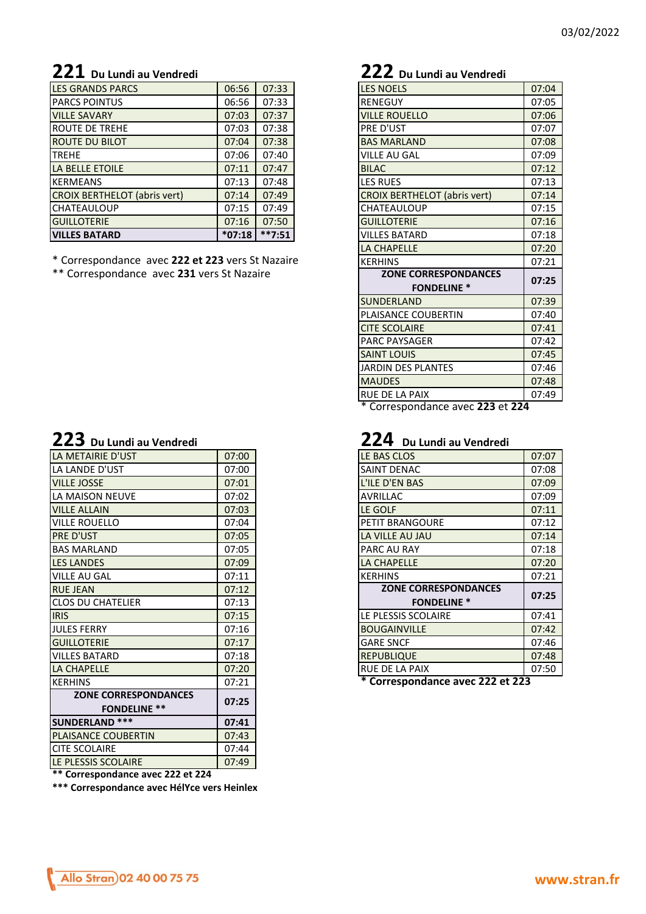# **221 Du Lundi au Vendredi 222 Du Lundi au Vendredi**

| <b>LES GRANDS PARCS</b>             | 06:56    | 07:33    |
|-------------------------------------|----------|----------|
| <b>PARCS POINTUS</b>                | 06:56    | 07:33    |
| <b>VILLE SAVARY</b>                 | 07:03    | 07:37    |
| <b>IROUTE DE TREHE</b>              | 07:03    | 07:38    |
| <b>ROUTE DU BILOT</b>               | 07:04    | 07:38    |
| <b>TREHE</b>                        | 07:06    | 07:40    |
| LA BELLE ETOILE                     | 07:11    | 07:47    |
| <b>KERMEANS</b>                     | 07:13    | 07:48    |
| <b>CROIX BERTHELOT (abris vert)</b> | 07:14    | 07:49    |
| ICHATEAULOUP                        | 07:15    | 07:49    |
| <b>GUILLOTERIE</b>                  | 07:16    | 07:50    |
| <b>VILLES BATARD</b>                | $*07:18$ | $**7:51$ |
|                                     |          |          |

\* Correspondance avec 222 et 223 vers St Nazaire \*\* Correspondance avec **231** vers St Nazaire

| ${\bf 223}\,$ Du Lundi au Vendredi |
|------------------------------------|
|------------------------------------|

| LA METAIRIE D'UST                                  | 07:00 | LE BAS CLOS                      | 07:07 |
|----------------------------------------------------|-------|----------------------------------|-------|
| LA LANDE D'UST                                     | 07:00 | SAINT DENAC                      | 07:08 |
| <b>VILLE JOSSE</b>                                 | 07:01 | L'ILE D'EN BAS                   | 07:09 |
| LA MAISON NEUVE                                    | 07:02 | <b>AVRILLAC</b>                  | 07:09 |
| <b>VILLE ALLAIN</b>                                | 07:03 | LE GOLF                          | 07:11 |
| VILLE ROUELLO                                      | 07:04 | <b>PETIT BRANGOURE</b>           | 07:12 |
| <b>PRE D'UST</b>                                   | 07:05 | LA VILLE AU JAU                  | 07:14 |
| <b>BAS MARLAND</b>                                 | 07:05 | PARC AU RAY                      | 07:18 |
| <b>LES LANDES</b>                                  | 07:09 | LA CHAPELLE                      | 07:20 |
| <b>VILLE AU GAL</b>                                | 07:11 | <b>KERHINS</b>                   | 07:21 |
| <b>RUE JEAN</b>                                    | 07:12 | <b>ZONE CORRESPONDANCES</b>      | 07:25 |
| <b>CLOS DU CHATELIER</b>                           | 07:13 | <b>FONDELINE *</b>               |       |
| <b>IRIS</b>                                        | 07:15 | LE PLESSIS SCOLAIRE              | 07:41 |
| <b>JULES FERRY</b>                                 | 07:16 | <b>BOUGAINVILLE</b>              | 07:42 |
| <b>GUILLOTERIE</b>                                 | 07:17 | <b>GARE SNCF</b>                 | 07:46 |
| <b>VILLES BATARD</b>                               | 07:18 | <b>REPUBLIQUE</b>                | 07:48 |
| <b>LA CHAPELLE</b>                                 | 07:20 | RUE DE LA PAIX                   | 07:50 |
| <b>KERHINS</b>                                     | 07:21 | * Correspondance avec 222 et 223 |       |
| <b>ZONE CORRESPONDANCES</b><br><b>FONDELINE **</b> | 07:25 |                                  |       |
| <b>SUNDERLAND ***</b>                              | 07:41 |                                  |       |
| <b>PLAISANCE COUBERTIN</b>                         | 07:43 |                                  |       |
| <b>CITE SCOLAIRE</b>                               | 07:44 |                                  |       |
| LE PLESSIS SCOLAIRE                                | 07:49 |                                  |       |
|                                                    |       |                                  |       |

**\*\* Correspondance avec 222 et 224**

**\*\*\* Correspondance avec HélYce vers Heinlex**

| <b>LES NOELS</b>                    | 07:04 |
|-------------------------------------|-------|
| <b>RENEGUY</b>                      | 07:05 |
| <b>VILLE ROUELLO</b>                | 07:06 |
| PRE D'UST                           | 07:07 |
| <b>BAS MARLAND</b>                  | 07:08 |
| <b>VILLE AU GAL</b>                 | 07:09 |
| <b>BILAC</b>                        | 07:12 |
| <b>LES RUES</b>                     | 07:13 |
| <b>CROIX BERTHELOT (abris vert)</b> | 07:14 |
| CHATEAULOUP                         | 07:15 |
| <b>GUILLOTERIE</b>                  | 07:16 |
| <b>VILLES BATARD</b>                | 07:18 |
| LA CHAPELLE                         | 07:20 |
| <b>KERHINS</b>                      | 07:21 |
| <b>ZONE CORRESPONDANCES</b>         |       |
| <b>FONDELINE *</b>                  | 07:25 |
|                                     |       |
| SUNDERLAND                          | 07:39 |
| PLAISANCE COUBERTIN                 | 07:40 |
| <b>CITE SCOLAIRE</b>                | 07:41 |
| <b>PARC PAYSAGER</b>                | 07:42 |
| <b>SAINT LOUIS</b>                  | 07:45 |
| <b>JARDIN DES PLANTES</b>           | 07:46 |
| <b>MAUDES</b>                       | 07:48 |
| RUE DE LA PAIX                      | 07:49 |

\* Correspondance avec **223** et **224**

### **223 Du Lundi au Vendredi 224 Du Lundi au Vendredi**

| LE BAS CLOS                      | 07:07 |
|----------------------------------|-------|
| <b>SAINT DENAC</b>               | 07:08 |
| L'ILE D'EN BAS                   | 07:09 |
| <b>AVRILLAC</b>                  | 07:09 |
| LE GOLF                          | 07:11 |
| <b>PETIT BRANGOURE</b>           | 07:12 |
| LA VILLE AU JAU                  | 07:14 |
| PARC AU RAY                      | 07:18 |
| LA CHAPELLE                      | 07:20 |
| <b>KERHINS</b>                   | 07:21 |
| <b>ZONE CORRESPONDANCES</b>      | 07:25 |
| <b>FONDELINE *</b>               |       |
| LE PLESSIS SCOLAIRE              | 07:41 |
| <b>BOUGAINVILLE</b>              | 07:42 |
| <b>GARE SNCF</b>                 | 07:46 |
| <b>REPUBLIQUE</b>                | 07:48 |
| <b>RUE DE LA PAIX</b>            | 07:50 |
| * Correspondance avec 222 et 223 |       |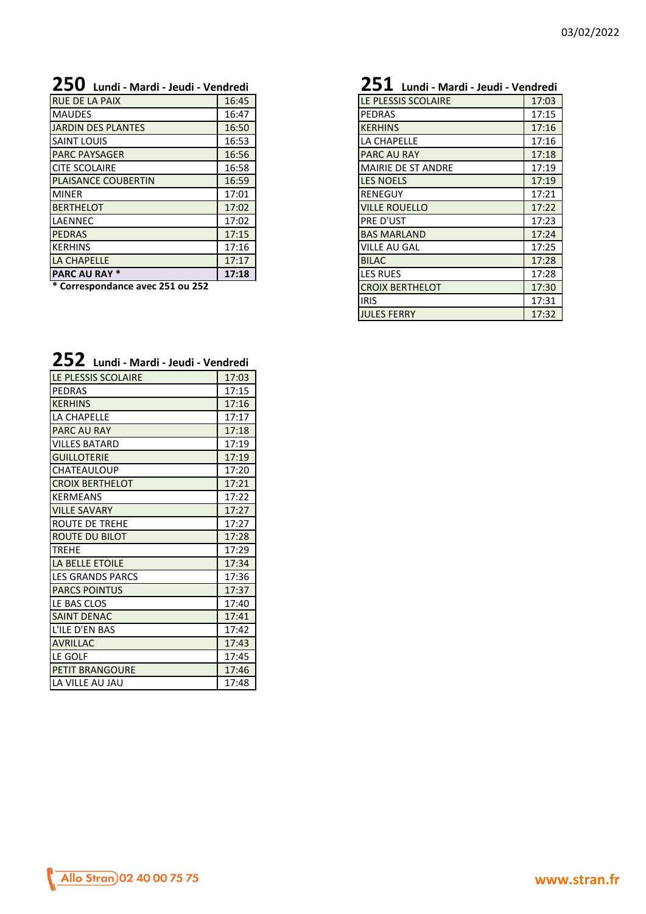# **250 Lundi - Mardi - Jeudi - Vendredi 251 Lundi - Mardi - Jeudi - Vendredi**

| <b>RUE DE LA PAIX</b>      | 16:45 | LE PLESSIS SCOLAIRE       | 17:03 |
|----------------------------|-------|---------------------------|-------|
| <b>MAUDES</b>              | 16:47 | <b>PEDRAS</b>             | 17:15 |
| JARDIN DES PLANTES         | 16:50 | <b>KERHINS</b>            | 17:16 |
| <b>SAINT LOUIS</b>         | 16:53 | LA CHAPELLE               | 17:16 |
| <b>PARC PAYSAGER</b>       | 16:56 | <b>PARC AU RAY</b>        | 17:18 |
| <b>CITE SCOLAIRE</b>       | 16:58 | <b>MAIRIE DE ST ANDRE</b> | 17:19 |
| <b>PLAISANCE COUBERTIN</b> | 16:59 | <b>LES NOELS</b>          | 17:19 |
| <b>MINER</b>               | 17:01 | <b>RENEGUY</b>            | 17:21 |
| <b>BERTHELOT</b>           | 17:02 | <b>VILLE ROUELLO</b>      | 17:22 |
| <b>LAENNEC</b>             | 17:02 | PRE D'UST                 | 17:23 |
| <b>PEDRAS</b>              | 17:15 | <b>BAS MARLAND</b>        | 17:24 |
| <b>IKERHINS</b>            | 17:16 | <b>VILLE AU GAL</b>       | 17:25 |
| LA CHAPELLE                | 17:17 | <b>BILAC</b>              | 17:28 |
| <b>PARC AU RAY *</b>       | 17:18 | <b>LES RUES</b>           | 17:28 |
|                            |       |                           |       |

**\* Correspondance avec 251 ou 252**

| ムコム - Lundi - Mardi - Jeudi - Vendredi |       |  |
|----------------------------------------|-------|--|
| LE PLESSIS SCOLAIRE                    | 17:03 |  |
| <b>PEDRAS</b>                          | 17:15 |  |
| <b>KERHINS</b>                         | 17:16 |  |
| LA CHAPELLE                            | 17:17 |  |
| <b>PARC AU RAY</b>                     | 17:18 |  |
| <b>VILLES BATARD</b>                   | 17:19 |  |
| <b>GUILLOTERIE</b>                     | 17:19 |  |
| <b>CHATEAULOUP</b>                     | 17:20 |  |
| <b>CROIX BERTHELOT</b>                 | 17:21 |  |
| <b>KERMEANS</b>                        | 17:22 |  |
| <b>VILLE SAVARY</b>                    | 17:27 |  |
| ROUTE DE TREHE                         | 17:27 |  |
| <b>ROUTE DU BILOT</b>                  | 17:28 |  |
| <b>TREHE</b>                           | 17:29 |  |
| <b>LA BELLE ETOILE</b>                 | 17:34 |  |
| <b>LES GRANDS PARCS</b>                | 17:36 |  |
| <b>PARCS POINTUS</b>                   | 17:37 |  |
| LE BAS CLOS                            | 17:40 |  |
| <b>SAINT DENAC</b>                     | 17:41 |  |
| L'ILE D'EN BAS                         | 17:42 |  |
| <b>AVRILLAC</b>                        | 17:43 |  |
| LE GOLF                                | 17:45 |  |
| <b>PETIT BRANGOURE</b>                 | 17:46 |  |
| LA VILLE AU JAU                        | 17:48 |  |

**252 Lundi - Mardi - Jeudi - Vendredi**

| $\mathbf{Z}$ $\mathbf{J}$ Lundi - Mardi - Jeudi - Vendredi |       |  |
|------------------------------------------------------------|-------|--|
| LE PLESSIS SCOLAIRE                                        | 17:03 |  |
| <b>PEDRAS</b>                                              | 17:15 |  |
| <b>KERHINS</b>                                             | 17:16 |  |
| LA CHAPELLE                                                | 17:16 |  |
| <b>PARC AU RAY</b>                                         | 17:18 |  |
| <b>MAIRIE DE ST ANDRE</b>                                  | 17:19 |  |
| <b>LES NOELS</b>                                           | 17:19 |  |
| <b>RENEGUY</b>                                             | 17:21 |  |
| <b>VILLE ROUELLO</b>                                       | 17:22 |  |
| PRE D'UST                                                  | 17:23 |  |
| <b>BAS MARLAND</b>                                         | 17:24 |  |
| VILLE AU GAL                                               | 17:25 |  |
| <b>BILAC</b>                                               | 17:28 |  |
| <b>LES RUES</b>                                            | 17:28 |  |
| <b>CROIX BERTHELOT</b>                                     | 17:30 |  |
| <b>IRIS</b>                                                | 17:31 |  |
| <b>JULES FERRY</b>                                         | 17:32 |  |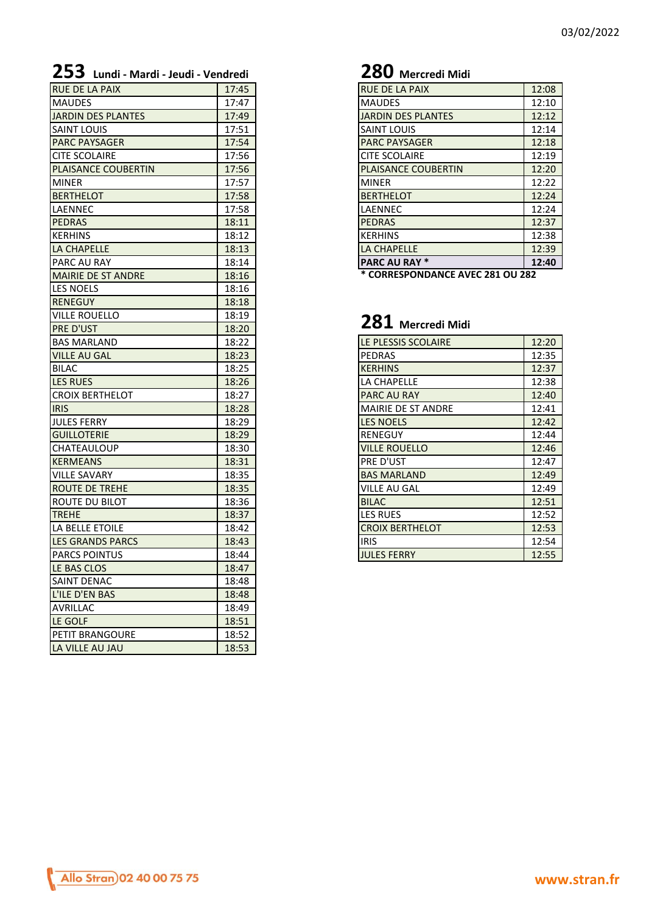| <b>233</b> Lundi - Mardi - Jeudi - Vendredi |       | <b>LOV</b> Mercreal Milal        |       |
|---------------------------------------------|-------|----------------------------------|-------|
| <b>RUE DE LA PAIX</b>                       | 17:45 | RUE DE LA PAIX                   | 12:08 |
| <b>MAUDES</b>                               | 17:47 | <b>MAUDES</b>                    | 12:10 |
| <b>JARDIN DES PLANTES</b>                   | 17:49 | <b>JARDIN DES PLANTES</b>        | 12:12 |
| <b>SAINT LOUIS</b>                          | 17:51 | <b>SAINT LOUIS</b>               | 12:14 |
| <b>PARC PAYSAGER</b>                        | 17:54 | <b>PARC PAYSAGER</b>             | 12:18 |
| <b>CITE SCOLAIRE</b>                        | 17:56 | <b>CITE SCOLAIRE</b>             | 12:19 |
| <b>PLAISANCE COUBERTIN</b>                  | 17:56 | <b>PLAISANCE COUBERTIN</b>       | 12:20 |
| <b>MINER</b>                                | 17:57 | <b>MINER</b>                     | 12:22 |
| <b>BERTHELOT</b>                            | 17:58 | <b>BERTHELOT</b>                 | 12:24 |
| LAENNEC                                     | 17:58 | LAENNEC                          | 12:24 |
| <b>PEDRAS</b>                               | 18:11 | <b>PEDRAS</b>                    | 12:37 |
| <b>KERHINS</b>                              | 18:12 | <b>KERHINS</b>                   | 12:38 |
| LA CHAPELLE                                 | 18:13 | LA CHAPELLE                      | 12:39 |
| <b>PARC AU RAY</b>                          | 18:14 | <b>PARC AU RAY *</b>             | 12:40 |
| <b>MAIRIE DE ST ANDRE</b>                   | 18:16 | * CORRESPONDANCE AVEC 281 OU 282 |       |
| <b>LES NOELS</b>                            | 18:16 |                                  |       |
| <b>RENEGUY</b>                              | 18:18 |                                  |       |
| <b>VILLE ROUELLO</b>                        | 18:19 |                                  |       |
| <b>PRE D'UST</b>                            | 18:20 | 281 Mercredi Midi                |       |
| <b>BAS MARLAND</b>                          | 18:22 | LE PLESSIS SCOLAIRE              | 12:20 |
| <b>VILLE AU GAL</b>                         | 18:23 | PEDRAS                           | 12:35 |
| <b>BILAC</b>                                | 18:25 | <b>KERHINS</b>                   | 12:37 |
| <b>LES RUES</b>                             | 18:26 | LA CHAPELLE                      | 12:38 |
| <b>CROIX BERTHELOT</b>                      | 18:27 | PARC AU RAY                      | 12:40 |
| <b>IRIS</b>                                 | 18:28 | <b>MAIRIE DE ST ANDRE</b>        | 12:41 |
| <b>JULES FERRY</b>                          | 18:29 | <b>LES NOELS</b>                 | 12:42 |
| <b>GUILLOTERIE</b>                          | 18:29 | RENEGUY                          | 12:44 |
| <b>CHATEAULOUP</b>                          | 18:30 | <b>VILLE ROUELLO</b>             | 12:46 |
| <b>KERMEANS</b>                             | 18:31 | PRE D'UST                        | 12:47 |
| <b>VILLE SAVARY</b>                         | 18:35 | <b>BAS MARLAND</b>               | 12:49 |
| <b>ROUTE DE TREHE</b>                       | 18:35 | <b>VILLE AU GAL</b>              | 12:49 |
| ROUTE DU BILOT                              | 18:36 | <b>BILAC</b>                     | 12:51 |
| <b>TREHE</b>                                | 18:37 | LES RUES                         | 12:52 |
| LA BELLE ETOILE                             | 18:42 | <b>CROIX BERTHELOT</b>           | 12:53 |
| <b>LES GRANDS PARCS</b>                     | 18:43 | <b>IRIS</b>                      | 12:54 |
| <b>PARCS POINTUS</b>                        | 18:44 | <b>JULES FERRY</b>               | 12:55 |
| LE BAS CLOS                                 | 18:47 |                                  |       |
| SAINT DENAC                                 | 18:48 |                                  |       |
| L'ILE D'EN BAS                              | 18:48 |                                  |       |
| <b>AVRILLAC</b>                             | 18:49 |                                  |       |
| LE GOLF                                     | 18:51 |                                  |       |
| PETIT BRANGOURE                             | 18:52 |                                  |       |
| LA VILLE AU JAU                             | 18:53 |                                  |       |

# **253 Lundi - Mardi - Jeudi - Vendredi 280 Mercredi Midi**

| <b>RUE DE LA PAIX</b>      | 12:08 |
|----------------------------|-------|
| <b>MAUDES</b>              | 12:10 |
| <b>JARDIN DES PLANTES</b>  | 12:12 |
| <b>SAINT LOUIS</b>         | 12:14 |
| <b>PARC PAYSAGER</b>       | 12:18 |
| <b>CITE SCOLAIRE</b>       | 12:19 |
| <b>PLAISANCE COUBERTIN</b> | 12:20 |
| <b>MINER</b>               | 12:22 |
| <b>BERTHELOT</b>           | 12:24 |
| LAENNEC                    | 12:24 |
| <b>PEDRAS</b>              | 12:37 |
| <b>KERHINS</b>             | 12:38 |
| <b>LA CHAPELLE</b>         | 12:39 |
| <b>PARC AU RAY *</b>       | 12:40 |

### **281 Mercredi Midi**

| LE PLESSIS SCOLAIRE       | 12:20 |
|---------------------------|-------|
| <b>PEDRAS</b>             | 12:35 |
| <b>KERHINS</b>            | 12:37 |
| LA CHAPELLE               | 12:38 |
| <b>PARC AU RAY</b>        | 12:40 |
| <b>MAIRIE DE ST ANDRE</b> | 12:41 |
| <b>LES NOELS</b>          | 12:42 |
| RENEGUY                   | 12:44 |
| <b>VILLE ROUELLO</b>      | 12:46 |
| PRE D'UST                 | 12:47 |
| <b>BAS MARLAND</b>        | 12:49 |
| VILLE AU GAL              | 12:49 |
| <b>BILAC</b>              | 12:51 |
| <b>LES RUES</b>           | 12:52 |
| <b>CROIX BERTHELOT</b>    | 12:53 |
| <b>IRIS</b>               | 12:54 |
| <b>JULES FERRY</b>        | 12:55 |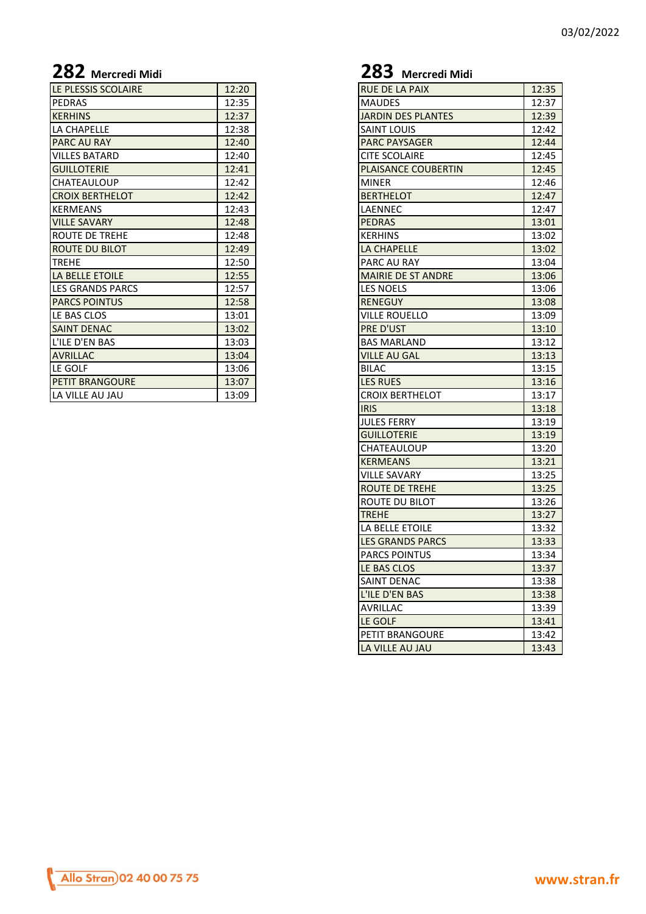| LE PLESSIS SCOLAIRE      | 12:20 | <b>RUE DE LA PAIX</b>      | 12:35 |
|--------------------------|-------|----------------------------|-------|
| <b>PEDRAS</b>            | 12:35 | <b>MAUDES</b>              | 12:37 |
| <b>KERHINS</b>           | 12:37 | <b>JARDIN DES PLANTES</b>  | 12:39 |
| <b>LA CHAPELLE</b>       | 12:38 | <b>SAINT LOUIS</b>         | 12:42 |
| <b>PARC AU RAY</b>       | 12:40 | <b>PARC PAYSAGER</b>       | 12:44 |
| <b>VILLES BATARD</b>     | 12:40 | <b>CITE SCOLAIRE</b>       | 12:45 |
| <b>GUILLOTERIE</b>       | 12:41 | <b>PLAISANCE COUBERTIN</b> | 12:45 |
| ICHATEAULOUP             | 12:42 | <b>MINER</b>               | 12:46 |
| <b>ICROIX BERTHELOT</b>  | 12:42 | <b>BERTHELOT</b>           | 12:47 |
| <b>KERMEANS</b>          | 12:43 | <b>LAENNEC</b>             | 12:47 |
| <b>VILLE SAVARY</b>      | 12:48 | <b>PEDRAS</b>              | 13:01 |
| <b>ROUTE DE TREHE</b>    | 12:48 | <b>KERHINS</b>             | 13:02 |
| <b>ROUTE DU BILOT</b>    | 12:49 | LA CHAPELLE                | 13:02 |
| <b>TREHE</b>             | 12:50 | PARC AU RAY                | 13:04 |
| LA BELLE ETOILE          | 12:55 | <b>MAIRIE DE ST ANDRE</b>  | 13:06 |
| <b>ILES GRANDS PARCS</b> | 12:57 | <b>LES NOELS</b>           | 13:06 |
| <b>PARCS POINTUS</b>     | 12:58 | <b>RENEGUY</b>             | 13:08 |
| LE BAS CLOS              | 13:01 | <b>VILLE ROUELLO</b>       | 13:09 |
| <b>SAINT DENAC</b>       | 13:02 | <b>PRE D'UST</b>           | 13:10 |
| L'ILE D'EN BAS           | 13:03 | <b>BAS MARLAND</b>         | 13:12 |
| <b>AVRILLAC</b>          | 13:04 | <b>VILLE AU GAL</b>        | 13:13 |
| LE GOLF                  | 13:06 | <b>BILAC</b>               | 13:15 |
| <b>PETIT BRANGOURE</b>   | 13:07 | <b>LES RUES</b>            | 13:16 |
| LA VILLE AU JAU          | 13:09 | <b>CROIX BERTHELOT</b>     | 13:17 |
|                          |       |                            |       |

# **282 Mercredi Midi 283 Mercredi Midi**

| <b>RUE DE LA PAIX</b>     | 12:35 |
|---------------------------|-------|
| <b>MAUDES</b>             | 12:37 |
| <b>JARDIN DES PLANTES</b> | 12:39 |
| <b>SAINT LOUIS</b>        | 12:42 |
| <b>PARC PAYSAGER</b>      | 12:44 |
| <b>CITE SCOLAIRE</b>      | 12:45 |
| PLAISANCE COUBERTIN       | 12:45 |
| <b>MINER</b>              | 12:46 |
| <b>BERTHELOT</b>          | 12:47 |
| LAENNEC                   | 12:47 |
| <b>PEDRAS</b>             | 13:01 |
| <b>KERHINS</b>            | 13:02 |
| LA CHAPELLE               | 13:02 |
| PARC AU RAY               | 13:04 |
| <b>MAIRIE DE ST ANDRE</b> | 13:06 |
| <b>LES NOELS</b>          | 13:06 |
| <b>RENEGUY</b>            | 13:08 |
| <b>VILLE ROUELLO</b>      | 13:09 |
| PRE D'UST                 | 13:10 |
| <b>BAS MARLAND</b>        | 13:12 |
| <b>VILLE AU GAL</b>       | 13:13 |
| <b>BILAC</b>              | 13:15 |
| <b>LES RUES</b>           | 13:16 |
| <b>CROIX BERTHELOT</b>    | 13:17 |
| <b>IRIS</b>               | 13:18 |
| <b>JULES FERRY</b>        | 13:19 |
| <b>GUILLOTERIE</b>        | 13:19 |
| CHATEAULOUP               | 13:20 |
| <b>KERMEANS</b>           | 13:21 |
| <b>VILLE SAVARY</b>       | 13:25 |
| <b>ROUTE DE TREHE</b>     | 13:25 |
| <b>ROUTE DU BILOT</b>     | 13:26 |
| <b>TREHE</b>              | 13:27 |
| LA BELLE ETOILE           | 13:32 |
| <b>LES GRANDS PARCS</b>   | 13:33 |
| <b>PARCS POINTUS</b>      | 13:34 |
| LE BAS CLOS               | 13:37 |
| SAINT DENAC               | 13:38 |
| L'ILE D'EN BAS            | 13:38 |
| <b>AVRILLAC</b>           | 13:39 |
| LE GOLF                   | 13:41 |
| PETIT BRANGOURE           | 13:42 |
| LA VILLE AU JAU           | 13:43 |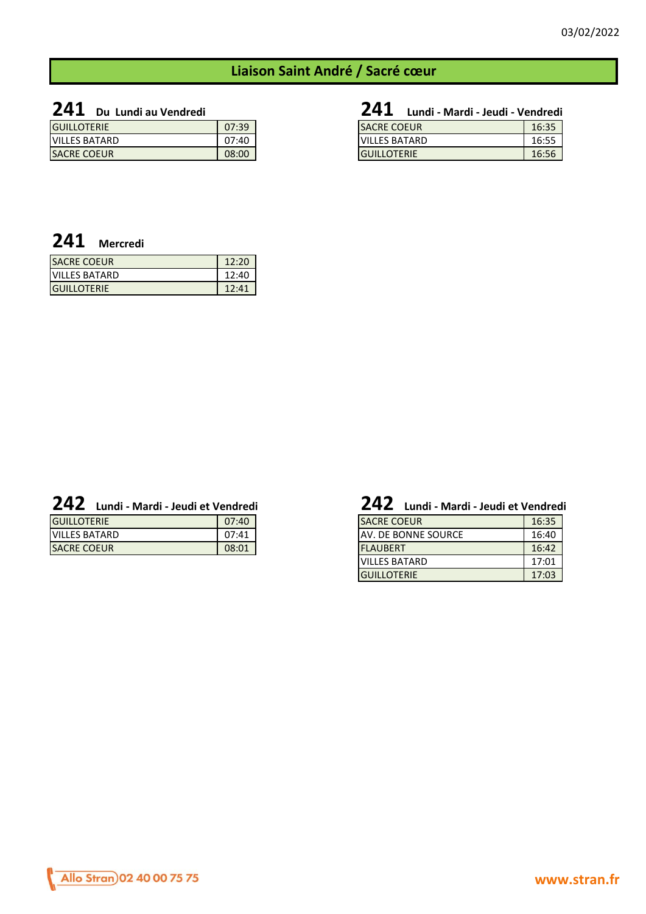# **Liaison Saint André / Sacré cœur**

**241 Du Lundi au Vendredi 241 Lundi - Mardi - Jeudi - Vendredi**

| <b>GUILLOTERIE</b>   | 07:39 | <b>SACRE COEUR</b>   | 16:35 |
|----------------------|-------|----------------------|-------|
| <b>VILLES BATARD</b> | 07:40 | <b>VILLES BATARD</b> | 16:55 |
| <b>SACRE COEUR</b>   | 08:00 | <b>GUILLOTERIE</b>   | 16:56 |

| <b>241</b><br>Lundi - Mardi - Jeudi - Vendredi |       |
|------------------------------------------------|-------|
| <b>SACRE COEUR</b>                             | 16:35 |
| <b>VILLES BATARD</b>                           | 16:55 |
| <b>GUILLOTERIE</b>                             | 16:56 |

# **241 Mercredi**

| <b>SACRE COEUR</b>   | 12:20 |
|----------------------|-------|
| <b>VILLES BATARD</b> | 12:40 |
| <b>IGUILLOTERIE</b>  | 12.41 |

| <b>GUILLOTERIE</b>   | 07:40 | <b>SACRE COEUR</b>     |  |
|----------------------|-------|------------------------|--|
| <b>VILLES BATARD</b> | 07:41 | DE BONNE SOURCE<br>AV. |  |
| <b>SACRE COEUR</b>   | 08:01 | <b>FLAUBERT</b>        |  |

# **242 Lundi - Mardi - Jeudi et Vendredi 242 Lundi - Mardi - Jeudi et Vendredi**

| <b>SACRE COEUR</b>   | 16:35 |
|----------------------|-------|
| AV. DE BONNE SOURCE  | 16:40 |
| <b>FLAUBERT</b>      | 16:42 |
| <b>VILLES BATARD</b> | 17:01 |
| <b>GUILLOTERIE</b>   | 17:03 |